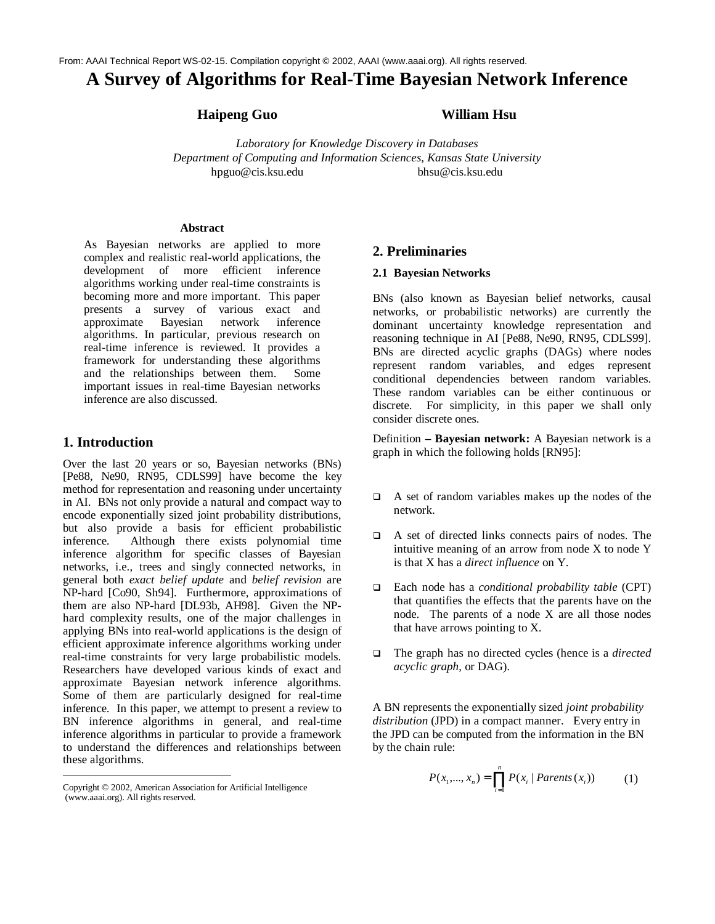# **A Survey of Algorithms for Real-Time Bayesian Network Inference**

## **Haipeng Guo William Hsu**

*Laboratory for Knowledge Discovery in Databases Department of Computing and Information Sciences, Kansas State University* hpguo@cis.ksu.edu bhsu@cis.ksu.edu

#### **Abstract**

As Bayesian networks are applied to more complex and realistic real-world applications, the development of more efficient inference algorithms working under real-time constraints is becoming more and more important. This paper presents a survey of various exact and<br>approximate Bayesian network inference approximate Bayesian network inference algorithms. In particular, previous research on real-time inference is reviewed. It provides a framework for understanding these algorithms and the relationships between them. Some important issues in real-time Bayesian networks inference are also discussed.

## **1. Introduction**

Over the last 20 years or so, Bayesian networks (BNs) [Pe88, Ne90, RN95, CDLS99] have become the key method for representation and reasoning under uncertainty in AI. BNs not only provide a natural and compact way to encode exponentially sized joint probability distributions, but also provide a basis for efficient probabilistic inference. Although there exists polynomial time inference algorithm for specific classes of Bayesian networks, i.e., trees and singly connected networks, in general both *exact belief update* and *belief revision* are NP-hard [Co90, Sh94]. Furthermore, approximations of them are also NP-hard [DL93b, AH98]. Given the NPhard complexity results, one of the major challenges in applying BNs into real-world applications is the design of efficient approximate inference algorithms working under real-time constraints for very large probabilistic models. Researchers have developed various kinds of exact and approximate Bayesian network inference algorithms. Some of them are particularly designed for real-time inference. In this paper, we attempt to present a review to BN inference algorithms in general, and real-time inference algorithms in particular to provide a framework to understand the differences and relationships between these algorithms.

## **2. Preliminaries**

#### **2.1 Bayesian Networks**

BNs (also known as Bayesian belief networks, causal networks, or probabilistic networks) are currently the dominant uncertainty knowledge representation and reasoning technique in AI [Pe88, Ne90, RN95, CDLS99]. BNs are directed acyclic graphs (DAGs) where nodes represent random variables, and edges represent conditional dependencies between random variables. These random variables can be either continuous or discrete. For simplicity, in this paper we shall only consider discrete ones.

Definition **– Bayesian network:** A Bayesian network is a graph in which the following holds [RN95]:

- $\Box$  A set of random variables makes up the nodes of the network.
- $\Box$  A set of directed links connects pairs of nodes. The intuitive meaning of an arrow from node X to node Y is that X has a *direct influence* on Y.
- □ Each node has a *conditional probability table* (CPT) that quantifies the effects that the parents have on the node. The parents of a node X are all those nodes that have arrows pointing to X.
- □ The graph has no directed cycles (hence is a *directed acyclic graph*, or DAG).

A BN represents the exponentially sized *joint probability distribution* (JPD) in a compact manner. Every entry in the JPD can be computed from the information in the BN by the chain rule:

$$
P(x_1, ..., x_n) = \prod_{i=1}^n P(x_i \mid Parents(x_i))
$$
 (1)

Copyright © 2002, American Association for Artificial Intelligence (www.aaai.org). All rights reserved.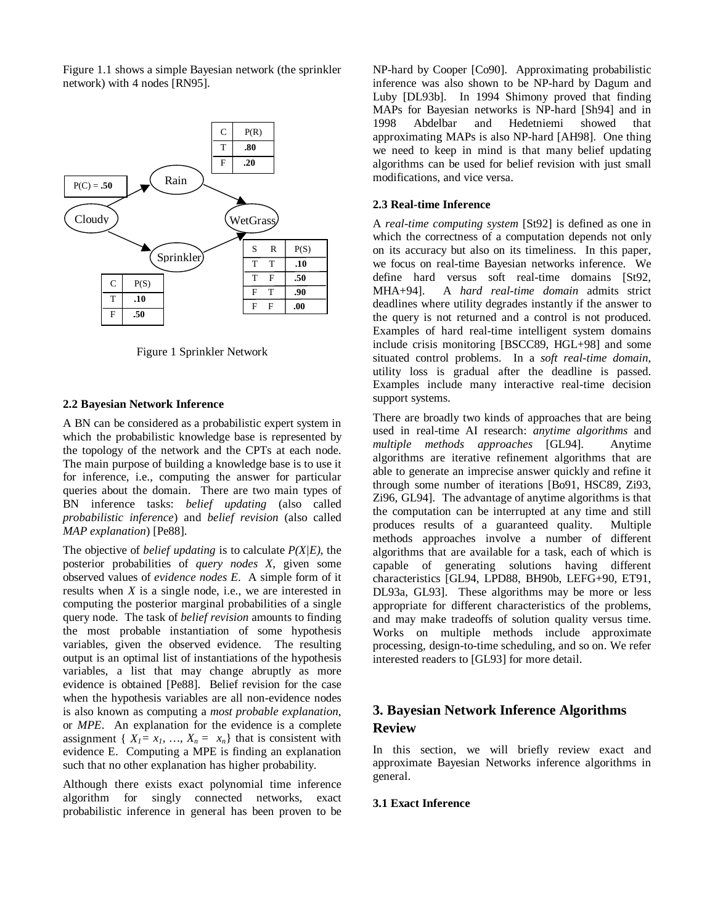Figure 1.1 shows a simple Bayesian network (the sprinkler network) with 4 nodes [RN95].



Figure 1 Sprinkler Network

#### **2.2 Bayesian Network Inference**

A BN can be considered as a probabilistic expert system in which the probabilistic knowledge base is represented by the topology of the network and the CPTs at each node. The main purpose of building a knowledge base is to use it for inference, i.e., computing the answer for particular queries about the domain. There are two main types of BN inference tasks: *belief updating* (also called *probabilistic inference*) and *belief revision* (also called *MAP explanation*) [Pe88].

The objective of *belief updating* is to calculate *P(X|E)*, the posterior probabilities of *query nodes X*, given some observed values of *evidence nodes E*. A simple form of it results when *X* is a single node, i.e., we are interested in computing the posterior marginal probabilities of a single query node. The task of *belief revision* amounts to finding the most probable instantiation of some hypothesis variables, given the observed evidence. The resulting output is an optimal list of instantiations of the hypothesis variables, a list that may change abruptly as more evidence is obtained [Pe88]. Belief revision for the case when the hypothesis variables are all non-evidence nodes is also known as computing a *most probable explanation*, or *MPE*. An explanation for the evidence is a complete assignment {  $X_1 = x_1, ..., X_n = x_n$ } that is consistent with evidence E. Computing a MPE is finding an explanation such that no other explanation has higher probability.

Although there exists exact polynomial time inference algorithm for singly connected networks, exact probabilistic inference in general has been proven to be NP-hard by Cooper [Co90]. Approximating probabilistic inference was also shown to be NP-hard by Dagum and Luby [DL93b]. In 1994 Shimony proved that finding MAPs for Bayesian networks is NP-hard [Sh94] and in 1998 Abdelbar and Hedetniemi showed that approximating MAPs is also NP-hard [AH98]. One thing we need to keep in mind is that many belief updating algorithms can be used for belief revision with just small modifications, and vice versa.

#### **2.3 Real-time Inference**

A *real-time computing system* [St92] is defined as one in which the correctness of a computation depends not only on its accuracy but also on its timeliness. In this paper, we focus on real-time Bayesian networks inference. We define hard versus soft real-time domains [St92, MHA+94]. A *hard real-time domain* admits strict deadlines where utility degrades instantly if the answer to the query is not returned and a control is not produced. Examples of hard real-time intelligent system domains include crisis monitoring [BSCC89, HGL+98] and some situated control problems. In a *soft real-time domain*, utility loss is gradual after the deadline is passed. Examples include many interactive real-time decision support systems.

There are broadly two kinds of approaches that are being used in real-time AI research: *anytime algorithms* and *multiple methods approaches* [GL94]. Anytime algorithms are iterative refinement algorithms that are able to generate an imprecise answer quickly and refine it through some number of iterations [Bo91, HSC89, Zi93, Zi96, GL94]. The advantage of anytime algorithms is that the computation can be interrupted at any time and still produces results of a guaranteed quality. Multiple methods approaches involve a number of different algorithms that are available for a task, each of which is capable of generating solutions having different characteristics [GL94, LPD88, BH90b, LEFG+90, ET91, DL93a, GL93]. These algorithms may be more or less appropriate for different characteristics of the problems, and may make tradeoffs of solution quality versus time. Works on multiple methods include approximate processing, design-to-time scheduling, and so on. We refer interested readers to [GL93] for more detail.

## **3. Bayesian Network Inference Algorithms Review**

In this section, we will briefly review exact and approximate Bayesian Networks inference algorithms in general.

#### **3.1 Exact Inference**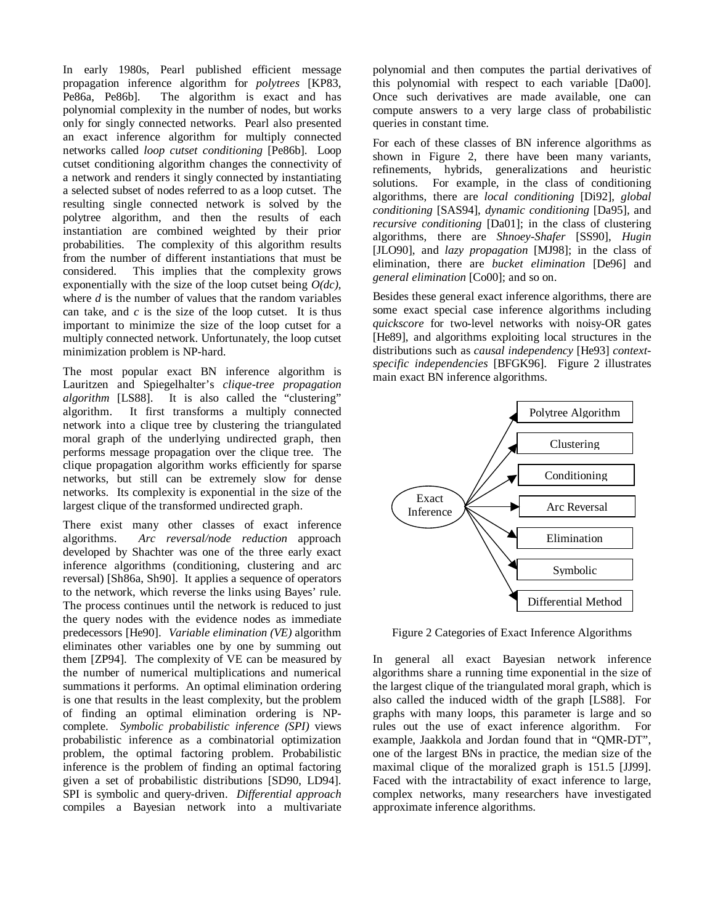In early 1980s, Pearl published efficient message propagation inference algorithm for *polytrees* [KP83, Pe86a, Pe86b]. The algorithm is exact and has polynomial complexity in the number of nodes, but works only for singly connected networks. Pearl also presented an exact inference algorithm for multiply connected networks called *loop cutset conditioning* [Pe86b]. Loop cutset conditioning algorithm changes the connectivity of a network and renders it singly connected by instantiating a selected subset of nodes referred to as a loop cutset. The resulting single connected network is solved by the polytree algorithm, and then the results of each instantiation are combined weighted by their prior probabilities. The complexity of this algorithm results from the number of different instantiations that must be considered. This implies that the complexity grows exponentially with the size of the loop cutset being *O(dc),* where *d* is the number of values that the random variables can take, and  $c$  is the size of the loop cutset. It is thus important to minimize the size of the loop cutset for a multiply connected network. Unfortunately, the loop cutset minimization problem is NP-hard.

The most popular exact BN inference algorithm is Lauritzen and Spiegelhalter's *clique-tree propagation algorithm* [LS88]. It is also called the "clustering" algorithm. It first transforms a multiply connected network into a clique tree by clustering the triangulated moral graph of the underlying undirected graph, then performs message propagation over the clique tree. The clique propagation algorithm works efficiently for sparse networks, but still can be extremely slow for dense networks. Its complexity is exponential in the size of the largest clique of the transformed undirected graph.

There exist many other classes of exact inference algorithms. *Arc reversal/node reduction* approach developed by Shachter was one of the three early exact inference algorithms (conditioning, clustering and arc reversal) [Sh86a, Sh90]. It applies a sequence of operators to the network, which reverse the links using Bayes' rule. The process continues until the network is reduced to just the query nodes with the evidence nodes as immediate predecessors [He90]. *Variable elimination (VE)* algorithm eliminates other variables one by one by summing out them [ZP94]. The complexity of VE can be measured by the number of numerical multiplications and numerical summations it performs. An optimal elimination ordering is one that results in the least complexity, but the problem of finding an optimal elimination ordering is NPcomplete. *Symbolic probabilistic inference (SPI)* views probabilistic inference as a combinatorial optimization problem, the optimal factoring problem. Probabilistic inference is the problem of finding an optimal factoring given a set of probabilistic distributions [SD90, LD94]. SPI is symbolic and query-driven. *Differential approach* compiles a Bayesian network into a multivariate polynomial and then computes the partial derivatives of this polynomial with respect to each variable [Da00]. Once such derivatives are made available, one can compute answers to a very large class of probabilistic queries in constant time.

For each of these classes of BN inference algorithms as shown in Figure 2, there have been many variants, refinements, hybrids, generalizations and heuristic solutions. For example, in the class of conditioning algorithms, there are *local conditioning* [Di92], *global conditioning* [SAS94], *dynamic conditioning* [Da95], and *recursive conditioning* [Da01]; in the class of clustering algorithms, there are *Shnoey-Shafer* [SS90], *Hugin* [JLO90], and *lazy propagation* [MJ98]; in the class of elimination, there are *bucket elimination* [De96] and *general elimination* [Co00]; and so on.

Besides these general exact inference algorithms, there are some exact special case inference algorithms including *quickscore* for two-level networks with noisy-OR gates [He89], and algorithms exploiting local structures in the distributions such as *causal independency* [He93] *contextspecific independencies* [BFGK96]. Figure 2 illustrates main exact BN inference algorithms.



Figure 2 Categories of Exact Inference Algorithms

In general all exact Bayesian network inference algorithms share a running time exponential in the size of the largest clique of the triangulated moral graph, which is also called the induced width of the graph [LS88]. For graphs with many loops, this parameter is large and so rules out the use of exact inference algorithm. For example, Jaakkola and Jordan found that in "QMR-DT", one of the largest BNs in practice, the median size of the maximal clique of the moralized graph is 151.5 [JJ99]. Faced with the intractability of exact inference to large, complex networks, many researchers have investigated approximate inference algorithms.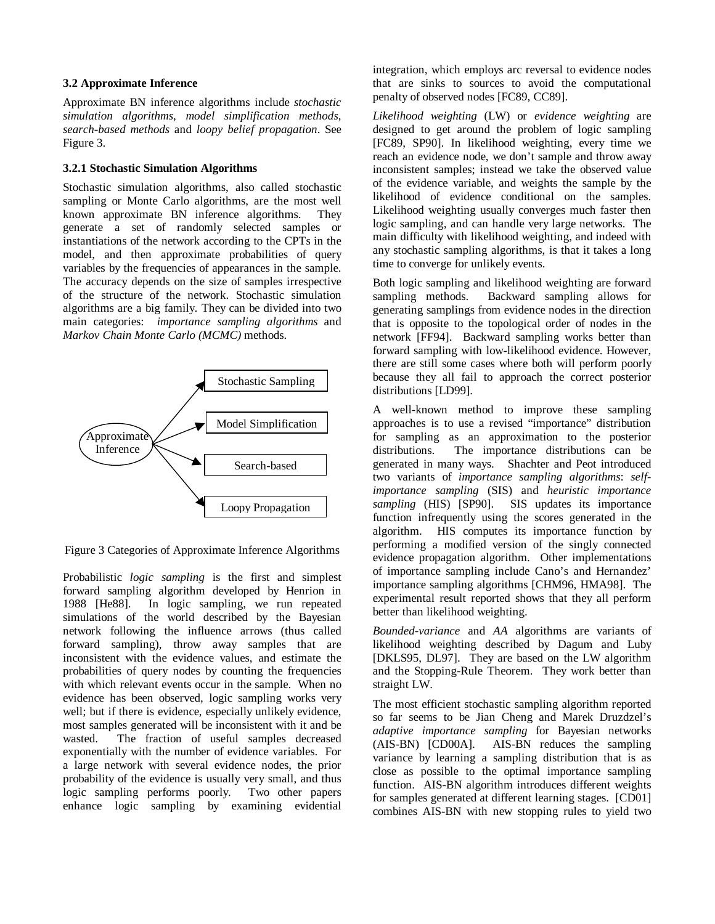#### **3.2 Approximate Inference**

Approximate BN inference algorithms include *stochastic simulation algorithms*, *model simplification methods*, *search-based methods* and *loopy belief propagation*. See Figure 3.

#### **3.2.1 Stochastic Simulation Algorithms**

Stochastic simulation algorithms, also called stochastic sampling or Monte Carlo algorithms, are the most well known approximate BN inference algorithms. They generate a set of randomly selected samples or instantiations of the network according to the CPTs in the model, and then approximate probabilities of query variables by the frequencies of appearances in the sample. The accuracy depends on the size of samples irrespective of the structure of the network. Stochastic simulation algorithms are a big family. They can be divided into two main categories: *importance sampling algorithms* and *Markov Chain Monte Carlo (MCMC)* methods.



Figure 3 Categories of Approximate Inference Algorithms

Probabilistic *logic sampling* is the first and simplest forward sampling algorithm developed by Henrion in 1988 [He88]. In logic sampling, we run repeated simulations of the world described by the Bayesian network following the influence arrows (thus called forward sampling), throw away samples that are inconsistent with the evidence values, and estimate the probabilities of query nodes by counting the frequencies with which relevant events occur in the sample. When no evidence has been observed, logic sampling works very well; but if there is evidence, especially unlikely evidence, most samples generated will be inconsistent with it and be wasted. The fraction of useful samples decreased exponentially with the number of evidence variables. For a large network with several evidence nodes, the prior probability of the evidence is usually very small, and thus logic sampling performs poorly. Two other papers enhance logic sampling by examining evidential integration, which employs arc reversal to evidence nodes that are sinks to sources to avoid the computational penalty of observed nodes [FC89, CC89].

*Likelihood weighting* (LW) or *evidence weighting* are designed to get around the problem of logic sampling [FC89, SP90]. In likelihood weighting, every time we reach an evidence node, we don't sample and throw away inconsistent samples; instead we take the observed value of the evidence variable, and weights the sample by the likelihood of evidence conditional on the samples. Likelihood weighting usually converges much faster then logic sampling, and can handle very large networks. The main difficulty with likelihood weighting, and indeed with any stochastic sampling algorithms, is that it takes a long time to converge for unlikely events.

Both logic sampling and likelihood weighting are forward sampling methods. Backward sampling allows for generating samplings from evidence nodes in the direction that is opposite to the topological order of nodes in the network [FF94]. Backward sampling works better than forward sampling with low-likelihood evidence. However, there are still some cases where both will perform poorly because they all fail to approach the correct posterior distributions [LD99].

A well-known method to improve these sampling approaches is to use a revised "importance" distribution for sampling as an approximation to the posterior distributions. The importance distributions can be generated in many ways. Shachter and Peot introduced two variants of *importance sampling algorithms*: *selfimportance sampling* (SIS) and *heuristic importance sampling* (HIS) [SP90]. SIS updates its importance function infrequently using the scores generated in the algorithm. HIS computes its importance function by performing a modified version of the singly connected evidence propagation algorithm. Other implementations of importance sampling include Cano's and Hernandez' importance sampling algorithms [CHM96, HMA98]. The experimental result reported shows that they all perform better than likelihood weighting.

*Bounded-variance* and *AA* algorithms are variants of likelihood weighting described by Dagum and Luby [DKLS95, DL97]. They are based on the LW algorithm and the Stopping-Rule Theorem. They work better than straight LW.

The most efficient stochastic sampling algorithm reported so far seems to be Jian Cheng and Marek Druzdzel's *adaptive importance sampling* for Bayesian networks (AIS-BN) [CD00A]. AIS-BN reduces the sampling variance by learning a sampling distribution that is as close as possible to the optimal importance sampling function. AIS-BN algorithm introduces different weights for samples generated at different learning stages. [CD01] combines AIS-BN with new stopping rules to yield two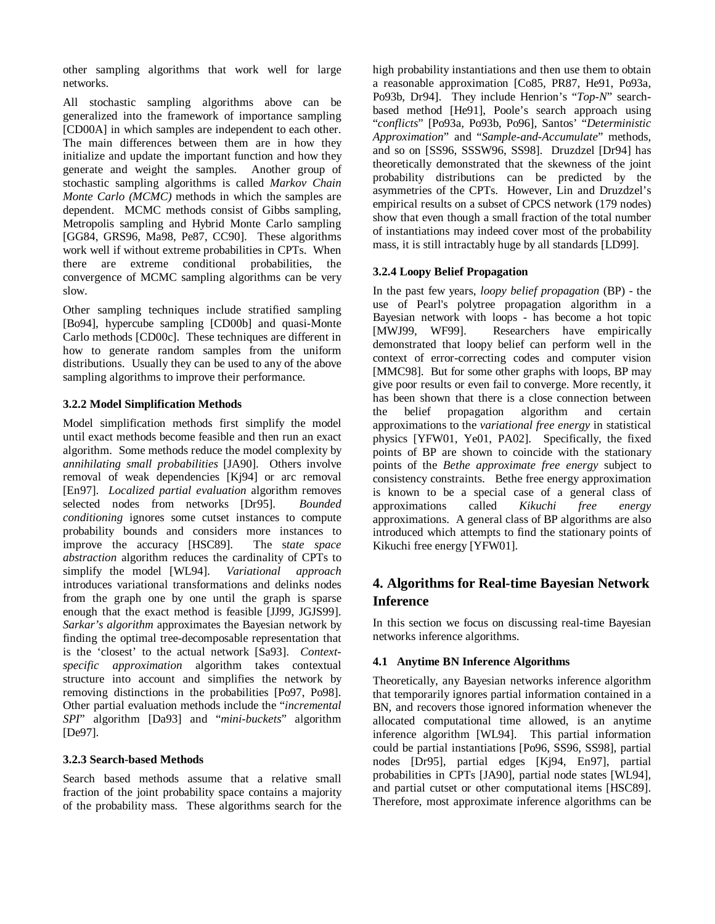other sampling algorithms that work well for large networks.

All stochastic sampling algorithms above can be generalized into the framework of importance sampling [CD00A] in which samples are independent to each other. The main differences between them are in how they initialize and update the important function and how they generate and weight the samples. Another group of stochastic sampling algorithms is called *Markov Chain Monte Carlo (MCMC)* methods in which the samples are dependent. MCMC methods consist of Gibbs sampling, Metropolis sampling and Hybrid Monte Carlo sampling [GG84, GRS96, Ma98, Pe87, CC90]. These algorithms work well if without extreme probabilities in CPTs. When there are extreme conditional probabilities, the convergence of MCMC sampling algorithms can be very slow.

Other sampling techniques include stratified sampling [Bo94], hypercube sampling [CD00b] and quasi-Monte Carlo methods [CD00c]. These techniques are different in how to generate random samples from the uniform distributions. Usually they can be used to any of the above sampling algorithms to improve their performance.

## **3.2.2 Model Simplification Methods**

Model simplification methods first simplify the model until exact methods become feasible and then run an exact algorithm. Some methods reduce the model complexity by *annihilating small probabilities* [JA90]. Others involve removal of weak dependencies [Kj94] or arc removal [En97]. *Localized partial evaluation* algorithm removes selected nodes from networks [Dr95]. *Bounded conditioning* ignores some cutset instances to compute probability bounds and considers more instances to improve the accuracy [HSC89]. The s*tate space abstraction* algorithm reduces the cardinality of CPTs to simplify the model [WL94]. *Variational approach* introduces variational transformations and delinks nodes from the graph one by one until the graph is sparse enough that the exact method is feasible [JJ99, JGJS99]. *Sarkar's algorithm* approximates the Bayesian network by finding the optimal tree-decomposable representation that is the 'closest' to the actual network [Sa93]. *Contextspecific approximation* algorithm takes contextual structure into account and simplifies the network by removing distinctions in the probabilities [Po97, Po98]. Other partial evaluation methods include the "*incremental SPI*" algorithm [Da93] and "*mini-buckets*" algorithm [De97].

#### **3.2.3 Search-based Methods**

Search based methods assume that a relative small fraction of the joint probability space contains a majority of the probability mass. These algorithms search for the high probability instantiations and then use them to obtain a reasonable approximation [Co85, PR87, He91, Po93a, Po93b, Dr94]. They include Henrion's "*Top-N*" searchbased method [He91], Poole's search approach using "*conflicts*" [Po93a, Po93b, Po96], Santos' "*Deterministic Approximation*" and "*Sample-and-Accumulate*" methods, and so on [SS96, SSSW96, SS98]. Druzdzel [Dr94] has theoretically demonstrated that the skewness of the joint probability distributions can be predicted by the asymmetries of the CPTs. However, Lin and Druzdzel's empirical results on a subset of CPCS network (179 nodes) show that even though a small fraction of the total number of instantiations may indeed cover most of the probability mass, it is still intractably huge by all standards [LD99].

## **3.2.4 Loopy Belief Propagation**

In the past few years, *loopy belief propagation* (BP) - the use of Pearl's polytree propagation algorithm in a Bayesian network with loops - has become a hot topic [MWJ99, WF99]. Researchers have empirically demonstrated that loopy belief can perform well in the context of error-correcting codes and computer vision [MMC98]. But for some other graphs with loops, BP may give poor results or even fail to converge. More recently, it has been shown that there is a close connection between the belief propagation algorithm and certain approximations to the *variational free energy* in statistical physics [YFW01, Ye01, PA02]. Specifically, the fixed points of BP are shown to coincide with the stationary points of the *Bethe approximate free energy* subject to consistency constraints. Bethe free energy approximation is known to be a special case of a general class of approximations called *Kikuchi free energy* approximations called *Kikuchi free energy* approximations. A general class of BP algorithms are also introduced which attempts to find the stationary points of Kikuchi free energy [YFW01].

# **4. Algorithms for Real-time Bayesian Network Inference**

In this section we focus on discussing real-time Bayesian networks inference algorithms.

#### **4.1 Anytime BN Inference Algorithms**

Theoretically, any Bayesian networks inference algorithm that temporarily ignores partial information contained in a BN, and recovers those ignored information whenever the allocated computational time allowed, is an anytime inference algorithm [WL94]. This partial information could be partial instantiations [Po96, SS96, SS98], partial nodes [Dr95], partial edges [Kj94, En97], partial probabilities in CPTs [JA90], partial node states [WL94], and partial cutset or other computational items [HSC89]. Therefore, most approximate inference algorithms can be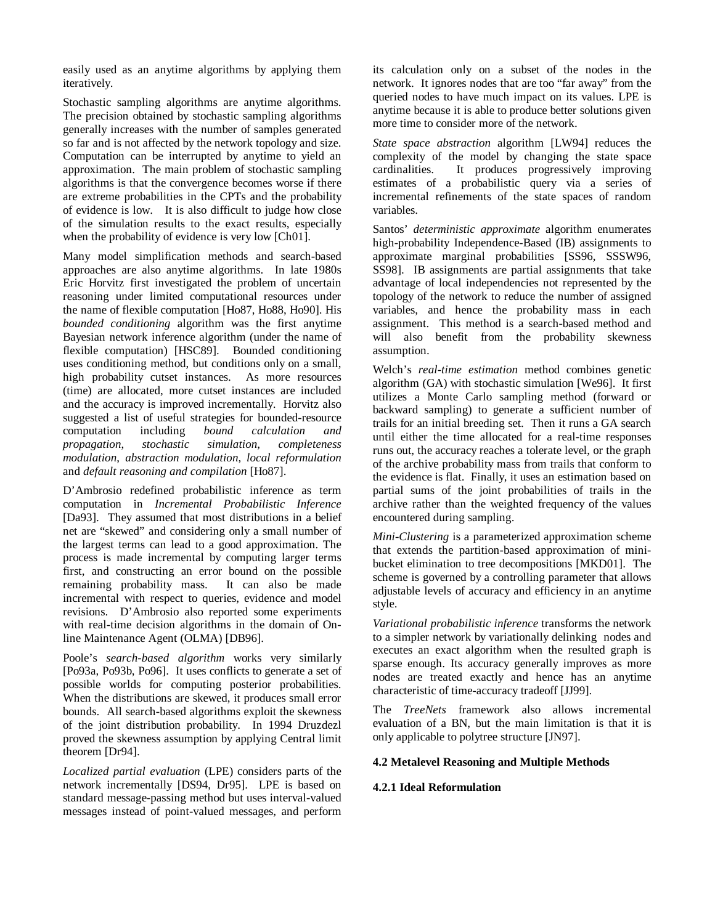easily used as an anytime algorithms by applying them iteratively.

Stochastic sampling algorithms are anytime algorithms. The precision obtained by stochastic sampling algorithms generally increases with the number of samples generated so far and is not affected by the network topology and size. Computation can be interrupted by anytime to yield an approximation. The main problem of stochastic sampling algorithms is that the convergence becomes worse if there are extreme probabilities in the CPTs and the probability of evidence is low. It is also difficult to judge how close of the simulation results to the exact results, especially when the probability of evidence is very low [Ch01].

Many model simplification methods and search-based approaches are also anytime algorithms. In late 1980s Eric Horvitz first investigated the problem of uncertain reasoning under limited computational resources under the name of flexible computation [Ho87, Ho88, Ho90]. His *bounded conditioning* algorithm was the first anytime Bayesian network inference algorithm (under the name of flexible computation) [HSC89]. Bounded conditioning uses conditioning method, but conditions only on a small, high probability cutset instances. As more resources (time) are allocated, more cutset instances are included and the accuracy is improved incrementally. Horvitz also suggested a list of useful strategies for bounded-resource computation including *bound calculation and propagation*, *stochastic simulation*, *completeness modulation*, *abstraction modulation*, *local reformulation* and *default reasoning and compilation* [Ho87].

D'Ambrosio redefined probabilistic inference as term computation in *Incremental Probabilistic Inference* [Da93]. They assumed that most distributions in a belief net are "skewed" and considering only a small number of the largest terms can lead to a good approximation. The process is made incremental by computing larger terms first, and constructing an error bound on the possible remaining probability mass. It can also be made incremental with respect to queries, evidence and model revisions. D'Ambrosio also reported some experiments with real-time decision algorithms in the domain of Online Maintenance Agent (OLMA) [DB96].

Poole's *search-based algorithm* works very similarly [Po93a, Po93b, Po96]. It uses conflicts to generate a set of possible worlds for computing posterior probabilities. When the distributions are skewed, it produces small error bounds. All search-based algorithms exploit the skewness of the joint distribution probability. In 1994 Druzdezl proved the skewness assumption by applying Central limit theorem [Dr94].

*Localized partial evaluation* (LPE) considers parts of the network incrementally [DS94, Dr95]. LPE is based on standard message-passing method but uses interval-valued messages instead of point-valued messages, and perform its calculation only on a subset of the nodes in the network. It ignores nodes that are too "far away" from the queried nodes to have much impact on its values. LPE is anytime because it is able to produce better solutions given more time to consider more of the network.

*State space abstraction* algorithm [LW94] reduces the complexity of the model by changing the state space cardinalities. It produces progressively improving estimates of a probabilistic query via a series of incremental refinements of the state spaces of random variables.

Santos' *deterministic approximate* algorithm enumerates high-probability Independence-Based (IB) assignments to approximate marginal probabilities [SS96, SSSW96, SS98]. IB assignments are partial assignments that take advantage of local independencies not represented by the topology of the network to reduce the number of assigned variables, and hence the probability mass in each assignment. This method is a search-based method and will also benefit from the probability skewness assumption.

Welch's *real-time estimation* method combines genetic algorithm (GA) with stochastic simulation [We96]. It first utilizes a Monte Carlo sampling method (forward or backward sampling) to generate a sufficient number of trails for an initial breeding set. Then it runs a GA search until either the time allocated for a real-time responses runs out, the accuracy reaches a tolerate level, or the graph of the archive probability mass from trails that conform to the evidence is flat. Finally, it uses an estimation based on partial sums of the joint probabilities of trails in the archive rather than the weighted frequency of the values encountered during sampling.

*Mini-Clustering* is a parameterized approximation scheme that extends the partition-based approximation of minibucket elimination to tree decompositions [MKD01]. The scheme is governed by a controlling parameter that allows adjustable levels of accuracy and efficiency in an anytime style.

*Variational probabilistic inference* transforms the network to a simpler network by variationally delinking nodes and executes an exact algorithm when the resulted graph is sparse enough. Its accuracy generally improves as more nodes are treated exactly and hence has an anytime characteristic of time-accuracy tradeoff [JJ99].

The *TreeNets* framework also allows incremental evaluation of a BN, but the main limitation is that it is only applicable to polytree structure [JN97].

#### **4.2 Metalevel Reasoning and Multiple Methods**

#### **4.2.1 Ideal Reformulation**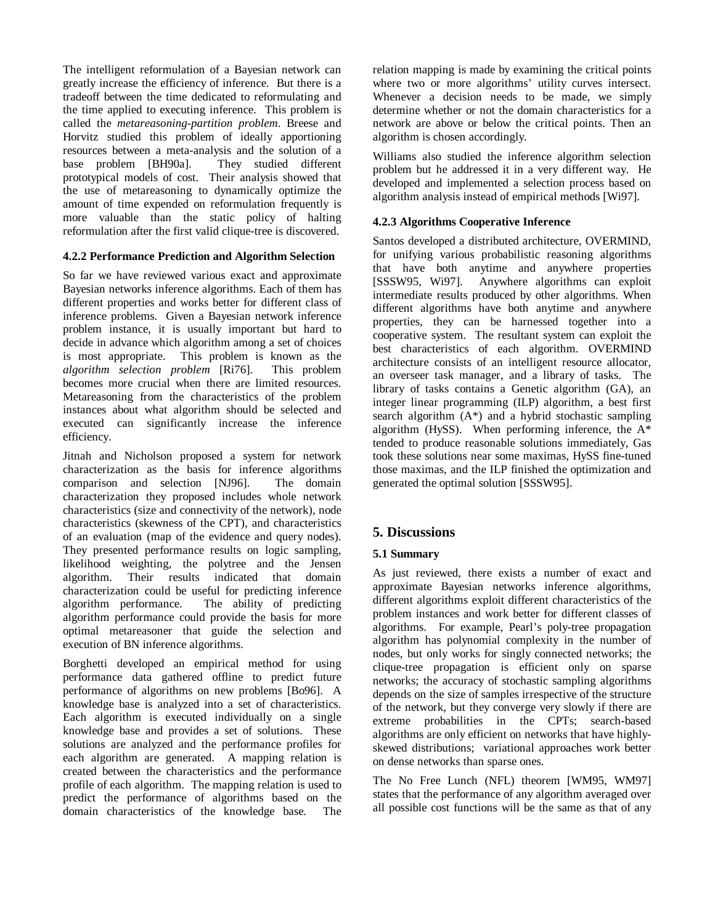The intelligent reformulation of a Bayesian network can greatly increase the efficiency of inference. But there is a tradeoff between the time dedicated to reformulating and the time applied to executing inference. This problem is called the *metareasoning-partition problem*. Breese and Horvitz studied this problem of ideally apportioning resources between a meta-analysis and the solution of a base problem [BH90a]. They studied different prototypical models of cost. Their analysis showed that the use of metareasoning to dynamically optimize the amount of time expended on reformulation frequently is more valuable than the static policy of halting reformulation after the first valid clique-tree is discovered.

#### **4.2.2 Performance Prediction and Algorithm Selection**

So far we have reviewed various exact and approximate Bayesian networks inference algorithms. Each of them has different properties and works better for different class of inference problems. Given a Bayesian network inference problem instance, it is usually important but hard to decide in advance which algorithm among a set of choices is most appropriate. This problem is known as the *algorithm selection problem* [Ri76]. This problem becomes more crucial when there are limited resources. Metareasoning from the characteristics of the problem instances about what algorithm should be selected and executed can significantly increase the inference efficiency.

Jitnah and Nicholson proposed a system for network characterization as the basis for inference algorithms comparison and selection [NJ96]. The domain characterization they proposed includes whole network characteristics (size and connectivity of the network), node characteristics (skewness of the CPT), and characteristics of an evaluation (map of the evidence and query nodes). They presented performance results on logic sampling, likelihood weighting, the polytree and the Jensen algorithm. Their results indicated that domain characterization could be useful for predicting inference algorithm performance. The ability of predicting algorithm performance could provide the basis for more optimal metareasoner that guide the selection and execution of BN inference algorithms.

Borghetti developed an empirical method for using performance data gathered offline to predict future performance of algorithms on new problems [Bo96]. A knowledge base is analyzed into a set of characteristics. Each algorithm is executed individually on a single knowledge base and provides a set of solutions. These solutions are analyzed and the performance profiles for each algorithm are generated. A mapping relation is created between the characteristics and the performance profile of each algorithm. The mapping relation is used to predict the performance of algorithms based on the domain characteristics of the knowledge base. The relation mapping is made by examining the critical points where two or more algorithms' utility curves intersect. Whenever a decision needs to be made, we simply determine whether or not the domain characteristics for a network are above or below the critical points. Then an algorithm is chosen accordingly.

Williams also studied the inference algorithm selection problem but he addressed it in a very different way. He developed and implemented a selection process based on algorithm analysis instead of empirical methods [Wi97].

## **4.2.3 Algorithms Cooperative Inference**

Santos developed a distributed architecture, OVERMIND, for unifying various probabilistic reasoning algorithms that have both anytime and anywhere properties [SSSW95, Wi97]. Anywhere algorithms can exploit intermediate results produced by other algorithms. When different algorithms have both anytime and anywhere properties, they can be harnessed together into a cooperative system. The resultant system can exploit the best characteristics of each algorithm. OVERMIND architecture consists of an intelligent resource allocator, an overseer task manager, and a library of tasks. The library of tasks contains a Genetic algorithm (GA), an integer linear programming (ILP) algorithm, a best first search algorithm  $(A^*)$  and a hybrid stochastic sampling algorithm (HySS). When performing inference, the A\* tended to produce reasonable solutions immediately, Gas took these solutions near some maximas, HySS fine-tuned those maximas, and the ILP finished the optimization and generated the optimal solution [SSSW95].

# **5. Discussions**

## **5.1 Summary**

As just reviewed, there exists a number of exact and approximate Bayesian networks inference algorithms, different algorithms exploit different characteristics of the problem instances and work better for different classes of algorithms. For example, Pearl's poly-tree propagation algorithm has polynomial complexity in the number of nodes, but only works for singly connected networks; the clique-tree propagation is efficient only on sparse networks; the accuracy of stochastic sampling algorithms depends on the size of samples irrespective of the structure of the network, but they converge very slowly if there are extreme probabilities in the CPTs; search-based algorithms are only efficient on networks that have highlyskewed distributions; variational approaches work better on dense networks than sparse ones.

The No Free Lunch (NFL) theorem [WM95, WM97] states that the performance of any algorithm averaged over all possible cost functions will be the same as that of any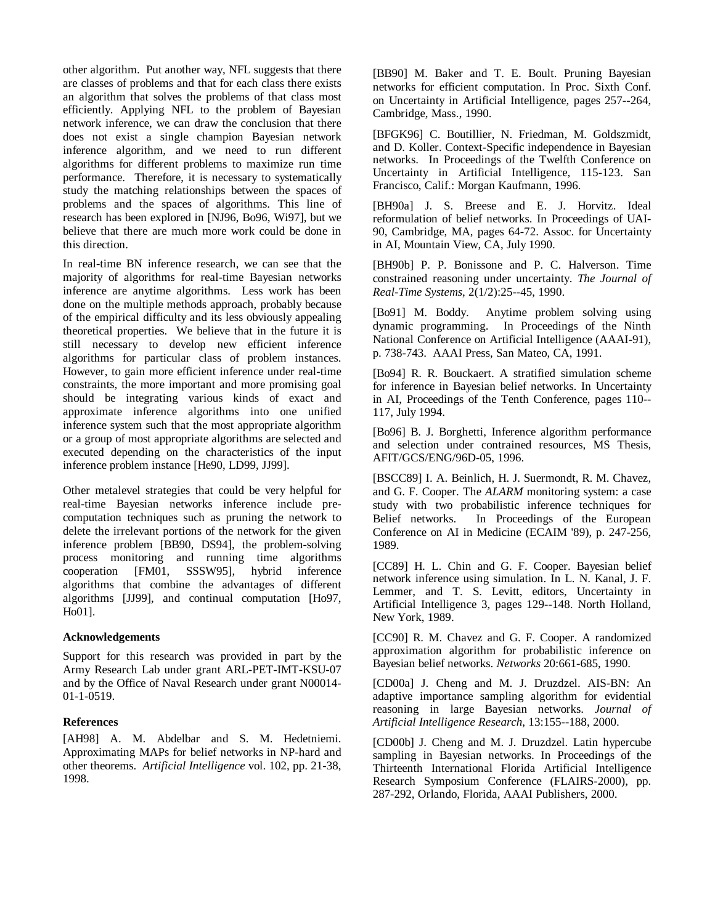other algorithm. Put another way, NFL suggests that there are classes of problems and that for each class there exists an algorithm that solves the problems of that class most efficiently. Applying NFL to the problem of Bayesian network inference, we can draw the conclusion that there does not exist a single champion Bayesian network inference algorithm, and we need to run different algorithms for different problems to maximize run time performance. Therefore, it is necessary to systematically study the matching relationships between the spaces of problems and the spaces of algorithms. This line of research has been explored in [NJ96, Bo96, Wi97], but we believe that there are much more work could be done in this direction.

In real-time BN inference research, we can see that the majority of algorithms for real-time Bayesian networks inference are anytime algorithms. Less work has been done on the multiple methods approach, probably because of the empirical difficulty and its less obviously appealing theoretical properties. We believe that in the future it is still necessary to develop new efficient inference algorithms for particular class of problem instances. However, to gain more efficient inference under real-time constraints, the more important and more promising goal should be integrating various kinds of exact and approximate inference algorithms into one unified inference system such that the most appropriate algorithm or a group of most appropriate algorithms are selected and executed depending on the characteristics of the input inference problem instance [He90, LD99, JJ99].

Other metalevel strategies that could be very helpful for real-time Bayesian networks inference include precomputation techniques such as pruning the network to delete the irrelevant portions of the network for the given inference problem [BB90, DS94], the problem-solving process monitoring and running time algorithms cooperation [FM01, SSSW95], hybrid inference algorithms that combine the advantages of different algorithms [JJ99], and continual computation [Ho97, Ho01].

#### **Acknowledgements**

Support for this research was provided in part by the Army Research Lab under grant ARL-PET-IMT-KSU-07 and by the Office of Naval Research under grant N00014- 01-1-0519.

#### **References**

[AH98] A. M. Abdelbar and S. M. Hedetniemi. Approximating MAPs for belief networks in NP-hard and other theorems. *Artificial Intelligence* vol. 102, pp. 21-38, 1998.

[BB90] M. Baker and T. E. Boult. Pruning Bayesian networks for efficient computation. In Proc. Sixth Conf. on Uncertainty in Artificial Intelligence, pages 257--264, Cambridge, Mass., 1990.

[BFGK96] C. Boutillier, N. Friedman, M. Goldszmidt, and D. Koller. Context-Specific independence in Bayesian networks. In Proceedings of the Twelfth Conference on Uncertainty in Artificial Intelligence, 115-123. San Francisco, Calif.: Morgan Kaufmann, 1996.

[BH90a] J. S. Breese and E. J. Horvitz. Ideal reformulation of belief networks. In Proceedings of UAI-90, Cambridge, MA, pages 64-72. Assoc. for Uncertainty in AI, Mountain View, CA, July 1990.

[BH90b] P. P. Bonissone and P. C. Halverson. Time constrained reasoning under uncertainty. *The Journal of Real-Time Systems*, 2(1/2):25--45, 1990.

[Bo91] M. Boddy. Anytime problem solving using dynamic programming. In Proceedings of the Ninth National Conference on Artificial Intelligence (AAAI-91), p. 738-743. AAAI Press, San Mateo, CA, 1991.

[Bo94] R. R. Bouckaert. A stratified simulation scheme for inference in Bayesian belief networks. In Uncertainty in AI, Proceedings of the Tenth Conference, pages 110-- 117, July 1994.

[Bo96] B. J. Borghetti, Inference algorithm performance and selection under contrained resources, MS Thesis, AFIT/GCS/ENG/96D-05, 1996.

[BSCC89] I. A. Beinlich, H. J. Suermondt, R. M. Chavez, and G. F. Cooper. The *ALARM* monitoring system: a case study with two probabilistic inference techniques for Belief networks. In Proceedings of the European Conference on AI in Medicine (ECAIM '89), p. 247-256, 1989.

[CC89] H. L. Chin and G. F. Cooper. Bayesian belief network inference using simulation. In L. N. Kanal, J. F. Lemmer, and T. S. Levitt, editors, Uncertainty in Artificial Intelligence 3, pages 129--148. North Holland, New York, 1989.

[CC90] R. M. Chavez and G. F. Cooper. A randomized approximation algorithm for probabilistic inference on Bayesian belief networks. *Networks* 20:661-685, 1990.

[CD00a] J. Cheng and M. J. Druzdzel. AIS-BN: An adaptive importance sampling algorithm for evidential reasoning in large Bayesian networks. *Journal of Artificial Intelligence Research*, 13:155--188, 2000.

[CD00b] J. Cheng and M. J. Druzdzel. Latin hypercube sampling in Bayesian networks. In Proceedings of the Thirteenth International Florida Artificial Intelligence Research Symposium Conference (FLAIRS-2000), pp. 287-292, Orlando, Florida, AAAI Publishers, 2000.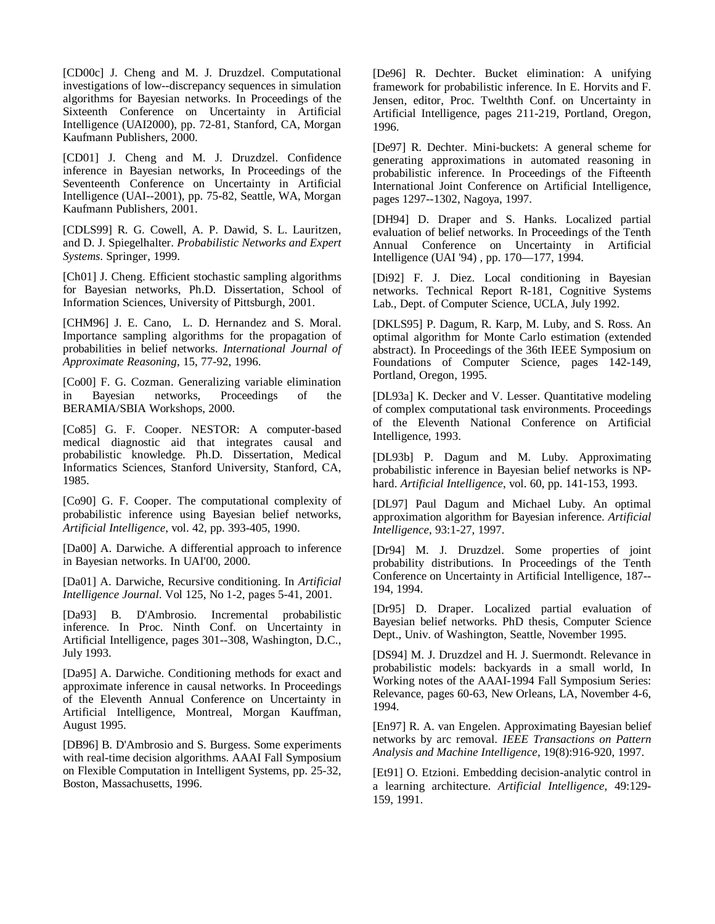[CD00c] J. Cheng and M. J. Druzdzel. Computational investigations of low--discrepancy sequences in simulation algorithms for Bayesian networks. In Proceedings of the Sixteenth Conference on Uncertainty in Artificial Intelligence (UAI2000), pp. 72-81, Stanford, CA, Morgan Kaufmann Publishers, 2000.

[CD01] J. Cheng and M. J. Druzdzel. Confidence inference in Bayesian networks, In Proceedings of the Seventeenth Conference on Uncertainty in Artificial Intelligence (UAI--2001), pp. 75-82, Seattle, WA, Morgan Kaufmann Publishers, 2001.

[CDLS99] R. G. Cowell, A. P. Dawid, S. L. Lauritzen, and D. J. Spiegelhalter. *Probabilistic Networks and Expert Systems*. Springer, 1999.

[Ch01] J. Cheng. Efficient stochastic sampling algorithms for Bayesian networks, Ph.D. Dissertation, School of Information Sciences, University of Pittsburgh, 2001.

[CHM96] J. E. Cano, L. D. Hernandez and S. Moral. Importance sampling algorithms for the propagation of probabilities in belief networks. *International Journal of Approximate Reasoning*, 15, 77-92, 1996.

[Co00] F. G. Cozman. Generalizing variable elimination in Bayesian networks, Proceedings of the BERAMIA/SBIA Workshops, 2000.

[Co85] G. F. Cooper. NESTOR: A computer-based medical diagnostic aid that integrates causal and probabilistic knowledge. Ph.D. Dissertation, Medical Informatics Sciences, Stanford University, Stanford, CA, 1985.

[Co90] G. F. Cooper. The computational complexity of probabilistic inference using Bayesian belief networks, *Artificial Intelligence*, vol. 42, pp. 393-405, 1990.

[Da00] A. Darwiche. A differential approach to inference in Bayesian networks. In UAI'00, 2000.

[Da01] A. Darwiche, Recursive conditioning. In *Artificial Intelligence Journal*. Vol 125, No 1-2, pages 5-41, 2001.

[Da93] B. D'Ambrosio. Incremental probabilistic inference. In Proc. Ninth Conf. on Uncertainty in Artificial Intelligence, pages 301--308, Washington, D.C., July 1993.

[Da95] A. Darwiche. Conditioning methods for exact and approximate inference in causal networks. In Proceedings of the Eleventh Annual Conference on Uncertainty in Artificial Intelligence, Montreal, Morgan Kauffman, August 1995.

[DB96] B. D'Ambrosio and S. Burgess. Some experiments with real-time decision algorithms. AAAI Fall Symposium on Flexible Computation in Intelligent Systems, pp. 25-32, Boston, Massachusetts, 1996.

[De96] R. Dechter. Bucket elimination: A unifying framework for probabilistic inference. In E. Horvits and F. Jensen, editor, Proc. Twelthth Conf. on Uncertainty in Artificial Intelligence, pages 211-219, Portland, Oregon, 1996.

[De97] R. Dechter. Mini-buckets: A general scheme for generating approximations in automated reasoning in probabilistic inference. In Proceedings of the Fifteenth International Joint Conference on Artificial Intelligence, pages 1297--1302, Nagoya, 1997.

[DH94] D. Draper and S. Hanks. Localized partial evaluation of belief networks. In Proceedings of the Tenth Annual Conference on Uncertainty in Artificial Intelligence (UAI '94) , pp. 170—177, 1994.

[Di92] F. J. Diez. Local conditioning in Bayesian networks. Technical Report R-181, Cognitive Systems Lab., Dept. of Computer Science, UCLA, July 1992.

[DKLS95] P. Dagum, R. Karp, M. Luby, and S. Ross. An optimal algorithm for Monte Carlo estimation (extended abstract). In Proceedings of the 36th IEEE Symposium on Foundations of Computer Science, pages 142-149, Portland, Oregon, 1995.

[DL93a] K. Decker and V. Lesser. Quantitative modeling of complex computational task environments. Proceedings of the Eleventh National Conference on Artificial Intelligence, 1993.

[DL93b] P. Dagum and M. Luby. Approximating probabilistic inference in Bayesian belief networks is NPhard. *Artificial Intelligence*, vol. 60, pp. 141-153, 1993.

[DL97] Paul Dagum and Michael Luby. An optimal approximation algorithm for Bayesian inference. *Artificial Intelligence*, 93:1-27, 1997.

[Dr94] M. J. Druzdzel. Some properties of joint probability distributions. In Proceedings of the Tenth Conference on Uncertainty in Artificial Intelligence, 187-- 194, 1994.

[Dr95] D. Draper. Localized partial evaluation of Bayesian belief networks. PhD thesis, Computer Science Dept., Univ. of Washington, Seattle, November 1995.

[DS94] M. J. Druzdzel and H. J. Suermondt. Relevance in probabilistic models: backyards in a small world, In Working notes of the AAAI-1994 Fall Symposium Series: Relevance, pages 60-63, New Orleans, LA, November 4-6, 1994.

[En97] R. A. van Engelen. Approximating Bayesian belief networks by arc removal. *IEEE Transactions on Pattern Analysis and Machine Intelligence*, 19(8):916-920, 1997.

[Et91] O. Etzioni. Embedding decision-analytic control in a learning architecture. *Artificial Intelligence*, 49:129- 159, 1991.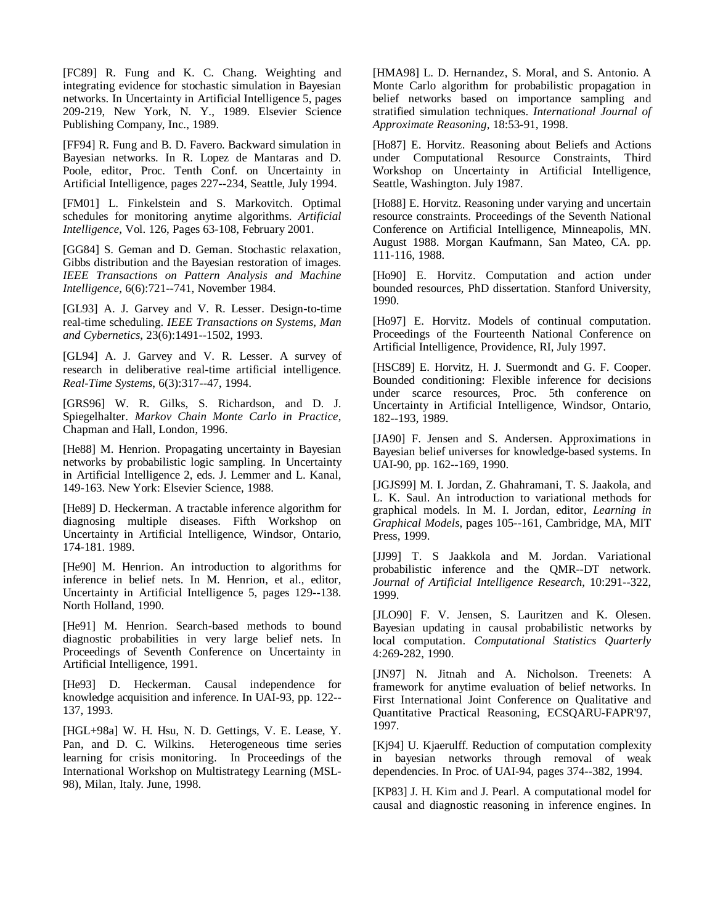[FC89] R. Fung and K. C. Chang. Weighting and integrating evidence for stochastic simulation in Bayesian networks. In Uncertainty in Artificial Intelligence 5, pages 209-219, New York, N. Y., 1989. Elsevier Science Publishing Company, Inc., 1989.

[FF94] R. Fung and B. D. Favero. Backward simulation in Bayesian networks. In R. Lopez de Mantaras and D. Poole, editor, Proc. Tenth Conf. on Uncertainty in Artificial Intelligence, pages 227--234, Seattle, July 1994.

[FM01] L. Finkelstein and S. Markovitch. Optimal schedules for monitoring anytime algorithms. *Artificial Intelligence*, Vol. 126, Pages 63-108, February 2001.

[GG84] S. Geman and D. Geman. Stochastic relaxation, Gibbs distribution and the Bayesian restoration of images. *IEEE Transactions on Pattern Analysis and Machine Intelligence*, 6(6):721--741, November 1984.

[GL93] A. J. Garvey and V. R. Lesser. Design-to-time real-time scheduling. *IEEE Transactions on Systems, Man and Cybernetics*, 23(6):1491--1502, 1993.

[GL94] A. J. Garvey and V. R. Lesser. A survey of research in deliberative real-time artificial intelligence. *Real-Time Systems*, 6(3):317--47, 1994.

[GRS96] W. R. Gilks, S. Richardson, and D. J. Spiegelhalter. *Markov Chain Monte Carlo in Practice*, Chapman and Hall, London, 1996.

[He88] M. Henrion. Propagating uncertainty in Bayesian networks by probabilistic logic sampling. In Uncertainty in Artificial Intelligence 2, eds. J. Lemmer and L. Kanal, 149-163. New York: Elsevier Science, 1988.

[He89] D. Heckerman. A tractable inference algorithm for diagnosing multiple diseases. Fifth Workshop on Uncertainty in Artificial Intelligence, Windsor, Ontario, 174-181. 1989.

[He90] M. Henrion. An introduction to algorithms for inference in belief nets. In M. Henrion, et al., editor, Uncertainty in Artificial Intelligence 5, pages 129--138. North Holland, 1990.

[He91] M. Henrion. Search-based methods to bound diagnostic probabilities in very large belief nets. In Proceedings of Seventh Conference on Uncertainty in Artificial Intelligence, 1991.

[He93] D. Heckerman. Causal independence for knowledge acquisition and inference. In UAI-93, pp. 122-- 137, 1993.

[HGL+98a] W. H. Hsu, N. D. Gettings, V. E. Lease, Y. Pan, and D. C. Wilkins. Heterogeneous time series learning for crisis monitoring. In Proceedings of the International Workshop on Multistrategy Learning (MSL-98), Milan, Italy. June, 1998.

[HMA98] L. D. Hernandez, S. Moral, and S. Antonio. A Monte Carlo algorithm for probabilistic propagation in belief networks based on importance sampling and stratified simulation techniques. *International Journal of Approximate Reasoning*, 18:53-91, 1998.

[Ho87] E. Horvitz. Reasoning about Beliefs and Actions under Computational Resource Constraints, Third Workshop on Uncertainty in Artificial Intelligence, Seattle, Washington. July 1987.

[Ho88] E. Horvitz. Reasoning under varying and uncertain resource constraints. Proceedings of the Seventh National Conference on Artificial Intelligence, Minneapolis, MN. August 1988. Morgan Kaufmann, San Mateo, CA. pp. 111-116, 1988.

[Ho90] E. Horvitz. Computation and action under bounded resources, PhD dissertation. Stanford University, 1990.

[Ho97] E. Horvitz. Models of continual computation. Proceedings of the Fourteenth National Conference on Artificial Intelligence, Providence, RI, July 1997.

[HSC89] E. Horvitz, H. J. Suermondt and G. F. Cooper. Bounded conditioning: Flexible inference for decisions under scarce resources, Proc. 5th conference on Uncertainty in Artificial Intelligence, Windsor, Ontario, 182--193, 1989.

[JA90] F. Jensen and S. Andersen. Approximations in Bayesian belief universes for knowledge-based systems. In UAI-90, pp. 162--169, 1990.

[JGJS99] M. I. Jordan, Z. Ghahramani, T. S. Jaakola, and L. K. Saul. An introduction to variational methods for graphical models. In M. I. Jordan, editor, *Learning in Graphical Models*, pages 105--161, Cambridge, MA, MIT Press, 1999.

[JJ99] T. S Jaakkola and M. Jordan. Variational probabilistic inference and the QMR--DT network. *Journal of Artificial Intelligence Research*, 10:291--322, 1999.

[JLO90] F. V. Jensen, S. Lauritzen and K. Olesen. Bayesian updating in causal probabilistic networks by local computation. *Computational Statistics Quarterly* 4:269-282, 1990.

[JN97] N. Jitnah and A. Nicholson. Treenets: A framework for anytime evaluation of belief networks. In First International Joint Conference on Qualitative and Quantitative Practical Reasoning, ECSQARU-FAPR'97, 1997.

[Kj94] U. Kjaerulff. Reduction of computation complexity in bayesian networks through removal of weak dependencies. In Proc. of UAI-94, pages 374--382, 1994.

[KP83] J. H. Kim and J. Pearl. A computational model for causal and diagnostic reasoning in inference engines. In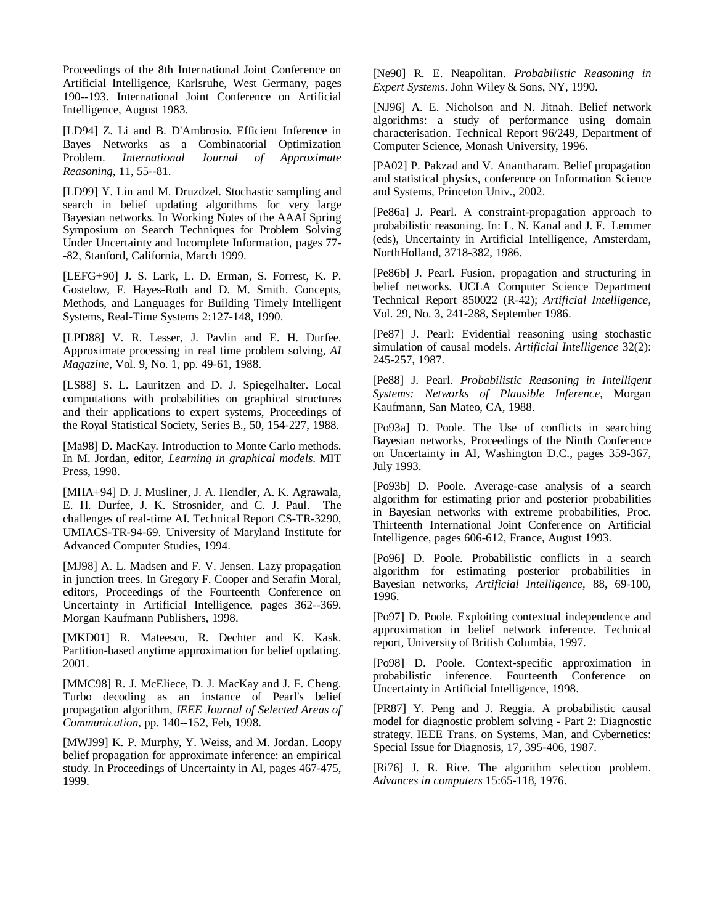Proceedings of the 8th International Joint Conference on Artificial Intelligence, Karlsruhe, West Germany, pages 190--193. International Joint Conference on Artificial Intelligence, August 1983.

[LD94] Z. Li and B. D'Ambrosio. Efficient Inference in Bayes Networks as a Combinatorial Optimization Problem. *International Journal of Approximate Reasoning*, 11, 55--81.

[LD99] Y. Lin and M. Druzdzel. Stochastic sampling and search in belief updating algorithms for very large Bayesian networks. In Working Notes of the AAAI Spring Symposium on Search Techniques for Problem Solving Under Uncertainty and Incomplete Information, pages 77- -82, Stanford, California, March 1999.

[LEFG+90] J. S. Lark, L. D. Erman, S. Forrest, K. P. Gostelow, F. Hayes-Roth and D. M. Smith. Concepts, Methods, and Languages for Building Timely Intelligent Systems, Real-Time Systems 2:127-148, 1990.

[LPD88] V. R. Lesser, J. Pavlin and E. H. Durfee. Approximate processing in real time problem solving, *AI Magazine*, Vol. 9, No. 1, pp. 49-61, 1988.

[LS88] S. L. Lauritzen and D. J. Spiegelhalter. Local computations with probabilities on graphical structures and their applications to expert systems, Proceedings of the Royal Statistical Society, Series B., 50, 154-227, 1988.

[Ma98] D. MacKay. Introduction to Monte Carlo methods. In M. Jordan, editor, *Learning in graphical models*. MIT Press, 1998.

[MHA+94] D. J. Musliner, J. A. Hendler, A. K. Agrawala, E. H. Durfee, J. K. Strosnider, and C. J. Paul. The challenges of real-time AI*.* Technical Report CS-TR-3290, UMIACS-TR-94-69. University of Maryland Institute for Advanced Computer Studies, 1994.

[MJ98] A. L. Madsen and F. V. Jensen. Lazy propagation in junction trees. In Gregory F. Cooper and Serafin Moral, editors, Proceedings of the Fourteenth Conference on Uncertainty in Artificial Intelligence, pages 362--369. Morgan Kaufmann Publishers, 1998.

[MKD01] R. Mateescu, R. Dechter and K. Kask. Partition-based anytime approximation for belief updating. 2001.

[MMC98] R. J. McEliece, D. J. MacKay and J. F. Cheng. Turbo decoding as an instance of Pearl's belief propagation algorithm, *IEEE Journal of Selected Areas of Communication*, pp. 140--152, Feb, 1998.

[MWJ99] K. P. Murphy, Y. Weiss, and M. Jordan. Loopy belief propagation for approximate inference: an empirical study. In Proceedings of Uncertainty in AI, pages 467-475, 1999.

[Ne90] R. E. Neapolitan. *Probabilistic Reasoning in Expert Systems*. John Wiley & Sons, NY, 1990.

[NJ96] A. E. Nicholson and N. Jitnah. Belief network algorithms: a study of performance using domain characterisation. Technical Report 96/249, Department of Computer Science, Monash University, 1996.

[PA02] P. Pakzad and V. Anantharam. Belief propagation and statistical physics, conference on Information Science and Systems, Princeton Univ., 2002.

[Pe86a] J. Pearl. A constraint-propagation approach to probabilistic reasoning. In: L. N. Kanal and J. F. Lemmer (eds), Uncertainty in Artificial Intelligence, Amsterdam, NorthHolland, 3718-382, 1986.

[Pe86b] J. Pearl. Fusion, propagation and structuring in belief networks. UCLA Computer Science Department Technical Report 850022 (R-42); *Artificial Intelligence*, Vol. 29, No. 3, 241-288, September 1986.

[Pe87] J. Pearl: Evidential reasoning using stochastic simulation of causal models. *Artificial Intelligence* 32(2): 245-257, 1987.

[Pe88] J. Pearl. *Probabilistic Reasoning in Intelligent Systems: Networks of Plausible Inference*, Morgan Kaufmann, San Mateo, CA, 1988.

[Po93a] D. Poole. The Use of conflicts in searching Bayesian networks, Proceedings of the Ninth Conference on Uncertainty in AI, Washington D.C., pages 359-367, July 1993.

[Po93b] D. Poole. Average-case analysis of a search algorithm for estimating prior and posterior probabilities in Bayesian networks with extreme probabilities, Proc. Thirteenth International Joint Conference on Artificial Intelligence, pages 606-612, France, August 1993.

[Po96] D. Poole. Probabilistic conflicts in a search algorithm for estimating posterior probabilities in Bayesian networks, *Artificial Intelligence*, 88, 69-100, 1996.

[Po97] D. Poole. Exploiting contextual independence and approximation in belief network inference. Technical report, University of British Columbia, 1997.

[Po98] D. Poole. Context-specific approximation in probabilistic inference. Fourteenth Conference on Uncertainty in Artificial Intelligence, 1998.

[PR87] Y. Peng and J. Reggia. A probabilistic causal model for diagnostic problem solving - Part 2: Diagnostic strategy. IEEE Trans. on Systems, Man, and Cybernetics: Special Issue for Diagnosis, 17, 395-406, 1987.

[Ri76] J. R. Rice. The algorithm selection problem. *Advances in computers* 15:65-118, 1976.